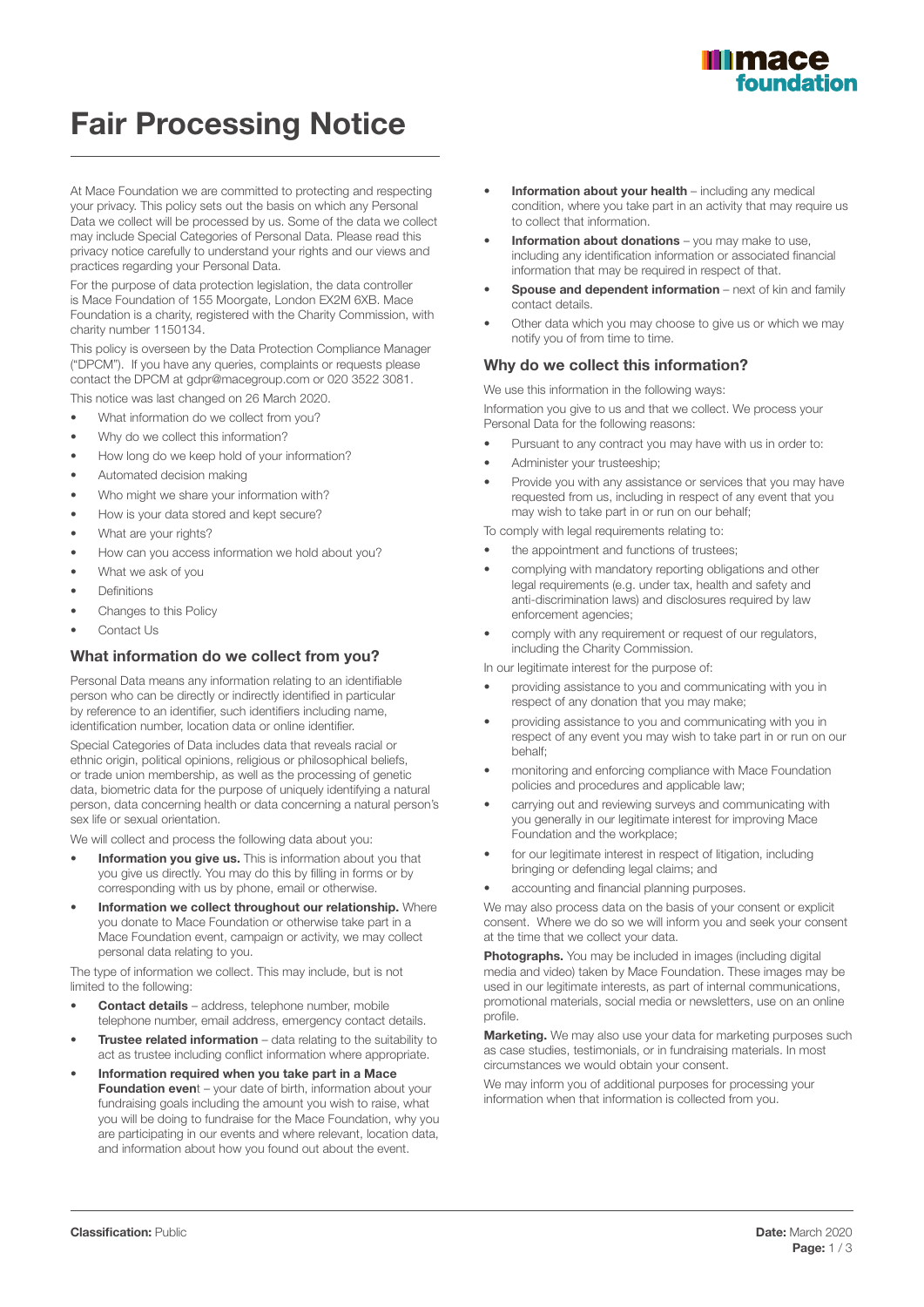

# Fair Processing Notice

At Mace Foundation we are committed to protecting and respecting your privacy. This policy sets out the basis on which any Personal Data we collect will be processed by us. Some of the data we collect may include Special Categories of Personal Data. Please read this privacy notice carefully to understand your rights and our views and practices regarding your Personal Data.

For the purpose of data protection legislation, the data controller is Mace Foundation of 155 Moorgate, London EX2M 6XB. Mace Foundation is a charity, registered with the Charity Commission, with charity number 1150134.

This policy is overseen by the Data Protection Compliance Manager ("DPCM"). If you have any queries, complaints or requests please contact the DPCM at gdpr@macegroup.com or 020 3522 3081. This notice was last changed on 26 March 2020.

- What information do we collect from you?
- Why do we collect this information?
- How long do we keep hold of your information?
- Automated decision making
- Who might we share your information with?
- How is your data stored and kept secure?
- What are your rights?
- How can you access information we hold about you?
- What we ask of you
- **Definitions**
- Changes to this Policy
- Contact Us

#### What information do we collect from you?

Personal Data means any information relating to an identifiable person who can be directly or indirectly identified in particular by reference to an identifier, such identifiers including name, identification number, location data or online identifier.

Special Categories of Data includes data that reveals racial or ethnic origin, political opinions, religious or philosophical beliefs, or trade union membership, as well as the processing of genetic data, biometric data for the purpose of uniquely identifying a natural person, data concerning health or data concerning a natural person's sex life or sexual orientation.

We will collect and process the following data about you:

- Information you give us. This is information about you that you give us directly. You may do this by filling in forms or by corresponding with us by phone, email or otherwise.
- Information we collect throughout our relationship. Where you donate to Mace Foundation or otherwise take part in a Mace Foundation event, campaign or activity, we may collect personal data relating to you.

The type of information we collect. This may include, but is not limited to the following:

- Contact details address, telephone number, mobile telephone number, email address, emergency contact details.
- **Trustee related information** data relating to the suitability to act as trustee including conflict information where appropriate.
- Information required when you take part in a Mace Foundation event – your date of birth, information about your fundraising goals including the amount you wish to raise, what you will be doing to fundraise for the Mace Foundation, why you are participating in our events and where relevant, location data, and information about how you found out about the event.
- Information about your health including any medical condition, where you take part in an activity that may require us to collect that information.
- Information about donations you may make to use. including any identification information or associated financial information that may be required in respect of that.
- **Spouse and dependent information** next of kin and family contact details.
- Other data which you may choose to give us or which we may notify you of from time to time.

## Why do we collect this information?

We use this information in the following ways:

Information you give to us and that we collect. We process your Personal Data for the following reasons:

- Pursuant to any contract you may have with us in order to:
- Administer your trusteeship;
- Provide you with any assistance or services that you may have requested from us, including in respect of any event that you may wish to take part in or run on our behalf;

To comply with legal requirements relating to:

- the appointment and functions of trustees;
- complying with mandatory reporting obligations and other legal requirements (e.g. under tax, health and safety and anti-discrimination laws) and disclosures required by law enforcement agencies;
- comply with any requirement or request of our regulators, including the Charity Commission.

In our legitimate interest for the purpose of:

- providing assistance to you and communicating with you in respect of any donation that you may make;
- providing assistance to you and communicating with you in respect of any event you may wish to take part in or run on our behalf;
- monitoring and enforcing compliance with Mace Foundation policies and procedures and applicable law;
- carrying out and reviewing surveys and communicating with you generally in our legitimate interest for improving Mace Foundation and the workplace;
- for our legitimate interest in respect of litigation, including bringing or defending legal claims; and
- accounting and financial planning purposes.

We may also process data on the basis of your consent or explicit consent. Where we do so we will inform you and seek your consent at the time that we collect your data.

Photographs. You may be included in images (including digital media and video) taken by Mace Foundation. These images may be used in our legitimate interests, as part of internal communications, promotional materials, social media or newsletters, use on an online profile.

**Marketing.** We may also use your data for marketing purposes such as case studies, testimonials, or in fundraising materials. In most circumstances we would obtain your consent.

We may inform you of additional purposes for processing your information when that information is collected from you.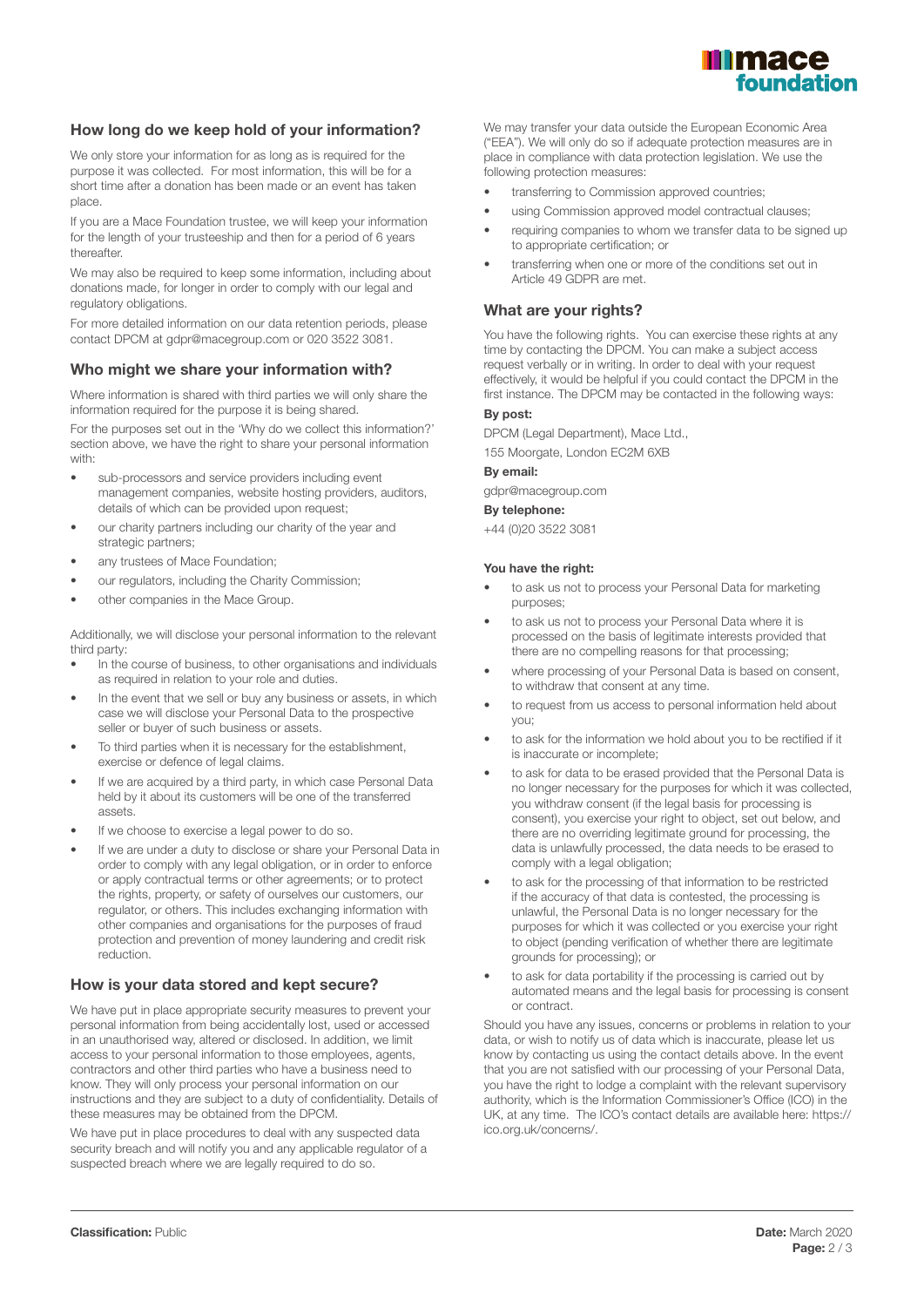

# How long do we keep hold of your information?

We only store your information for as long as is required for the purpose it was collected. For most information, this will be for a short time after a donation has been made or an event has taken place.

If you are a Mace Foundation trustee, we will keep your information for the length of your trusteeship and then for a period of 6 years thereafter.

We may also be required to keep some information, including about donations made, for longer in order to comply with our legal and regulatory obligations.

For more detailed information on our data retention periods, please contact DPCM at gdpr@macegroup.com or 020 3522 3081.

# Who might we share your information with?

Where information is shared with third parties we will only share the information required for the purpose it is being shared.

For the purposes set out in the 'Why do we collect this information?' section above, we have the right to share your personal information with:

- sub-processors and service providers including event management companies, website hosting providers, auditors, details of which can be provided upon request;
- our charity partners including our charity of the year and strategic partners;
- any trustees of Mace Foundation;
- our regulators, including the Charity Commission;
- other companies in the Mace Group.

Additionally, we will disclose your personal information to the relevant third party:

- In the course of business, to other organisations and individuals as required in relation to your role and duties.
- In the event that we sell or buy any business or assets, in which case we will disclose your Personal Data to the prospective seller or buyer of such business or assets.
- To third parties when it is necessary for the establishment, exercise or defence of legal claims.
- If we are acquired by a third party, in which case Personal Data held by it about its customers will be one of the transferred assets.
- If we choose to exercise a legal power to do so.
- If we are under a duty to disclose or share your Personal Data in order to comply with any legal obligation, or in order to enforce or apply contractual terms or other agreements; or to protect the rights, property, or safety of ourselves our customers, our regulator, or others. This includes exchanging information with other companies and organisations for the purposes of fraud protection and prevention of money laundering and credit risk reduction.

# How is your data stored and kept secure?

We have put in place appropriate security measures to prevent your personal information from being accidentally lost, used or accessed in an unauthorised way, altered or disclosed. In addition, we limit access to your personal information to those employees, agents, contractors and other third parties who have a business need to know. They will only process your personal information on our instructions and they are subject to a duty of confidentiality. Details of these measures may be obtained from the DPCM.

We have put in place procedures to deal with any suspected data security breach and will notify you and any applicable regulator of a suspected breach where we are legally required to do so.

We may transfer your data outside the European Economic Area ("EEA"). We will only do so if adequate protection measures are in place in compliance with data protection legislation. We use the following protection measures:

- transferring to Commission approved countries:
- using Commission approved model contractual clauses;
- requiring companies to whom we transfer data to be signed up to appropriate certification; or
- transferring when one or more of the conditions set out in Article 49 GDPR are met.

# What are your rights?

You have the following rights. You can exercise these rights at any time by contacting the DPCM. You can make a subject access request verbally or in writing. In order to deal with your request effectively, it would be helpful if you could contact the DPCM in the first instance. The DPCM may be contacted in the following ways:

# By post:

DPCM (Legal Department), Mace Ltd.,

155 Moorgate, London EC2M 6XB

#### By email:

gdpr@macegroup.com

#### By telephone:

+44 (0)20 3522 3081

## You have the right:

- to ask us not to process your Personal Data for marketing purposes;
- to ask us not to process your Personal Data where it is processed on the basis of legitimate interests provided that there are no compelling reasons for that processing;
- where processing of your Personal Data is based on consent, to withdraw that consent at any time.
- to request from us access to personal information held about you;
- to ask for the information we hold about you to be rectified if it is inaccurate or incomplete;
- to ask for data to be erased provided that the Personal Data is no longer necessary for the purposes for which it was collected, you withdraw consent (if the legal basis for processing is consent), you exercise your right to object, set out below, and there are no overriding legitimate ground for processing, the data is unlawfully processed, the data needs to be erased to comply with a legal obligation:
- to ask for the processing of that information to be restricted if the accuracy of that data is contested, the processing is unlawful, the Personal Data is no longer necessary for the purposes for which it was collected or you exercise your right to object (pending verification of whether there are legitimate grounds for processing); or
- to ask for data portability if the processing is carried out by automated means and the legal basis for processing is consent or contract.

Should you have any issues, concerns or problems in relation to your data, or wish to notify us of data which is inaccurate, please let us know by contacting us using the contact details above. In the event that you are not satisfied with our processing of your Personal Data, you have the right to lodge a complaint with the relevant supervisory authority, which is the Information Commissioner's Office (ICO) in the UK, at any time. The ICO's contact details are available here: https:// ico.org.uk/concerns/.